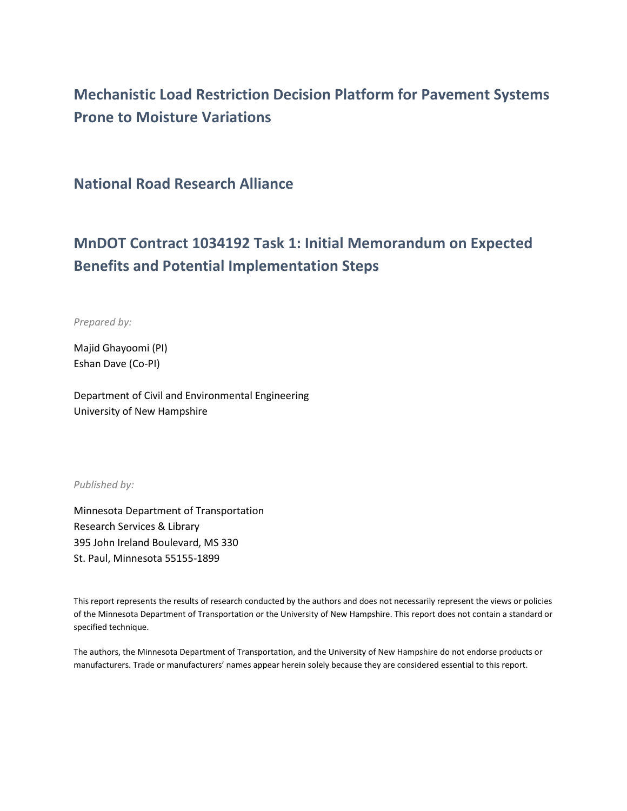# **Mechanistic Load Restriction Decision Platform for Pavement Systems Prone to Moisture Variations**

**National Road Research Alliance**

# **MnDOT Contract 1034192 Task 1: Initial Memorandum on Expected Benefits and Potential Implementation Steps**

*Prepared by:*

Majid Ghayoomi (PI) Eshan Dave (Co-PI)

Department of Civil and Environmental Engineering University of New Hampshire

*Published by:*

Minnesota Department of Transportation Research Services & Library 395 John Ireland Boulevard, MS 330 St. Paul, Minnesota 55155-1899

This report represents the results of research conducted by the authors and does not necessarily represent the views or policies of the Minnesota Department of Transportation or the University of New Hampshire. This report does not contain a standard or specified technique.

The authors, the Minnesota Department of Transportation, and the University of New Hampshire do not endorse products or manufacturers. Trade or manufacturers' names appear herein solely because they are considered essential to this report.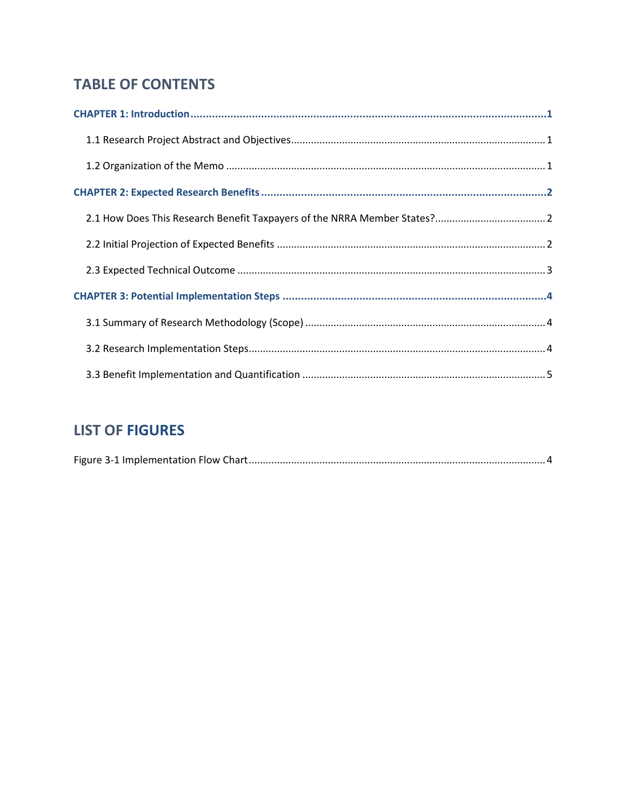## **TABLE OF CONTENTS**

## **LIST OF FIGURES**

|--|--|--|--|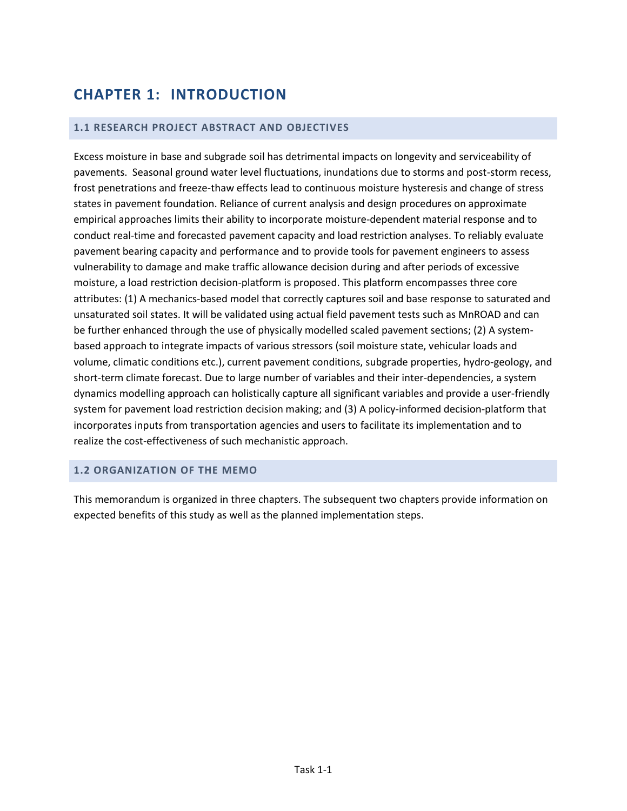# <span id="page-2-0"></span>**CHAPTER 1: INTRODUCTION**

#### <span id="page-2-1"></span>**1.1 RESEARCH PROJECT ABSTRACT AND OBJECTIVES**

Excess moisture in base and subgrade soil has detrimental impacts on longevity and serviceability of pavements. Seasonal ground water level fluctuations, inundations due to storms and post-storm recess, frost penetrations and freeze-thaw effects lead to continuous moisture hysteresis and change of stress states in pavement foundation. Reliance of current analysis and design procedures on approximate empirical approaches limits their ability to incorporate moisture-dependent material response and to conduct real-time and forecasted pavement capacity and load restriction analyses. To reliably evaluate pavement bearing capacity and performance and to provide tools for pavement engineers to assess vulnerability to damage and make traffic allowance decision during and after periods of excessive moisture, a load restriction decision-platform is proposed. This platform encompasses three core attributes: (1) A mechanics-based model that correctly captures soil and base response to saturated and unsaturated soil states. It will be validated using actual field pavement tests such as MnROAD and can be further enhanced through the use of physically modelled scaled pavement sections; (2) A systembased approach to integrate impacts of various stressors (soil moisture state, vehicular loads and volume, climatic conditions etc.), current pavement conditions, subgrade properties, hydro-geology, and short-term climate forecast. Due to large number of variables and their inter-dependencies, a system dynamics modelling approach can holistically capture all significant variables and provide a user-friendly system for pavement load restriction decision making; and (3) A policy-informed decision-platform that incorporates inputs from transportation agencies and users to facilitate its implementation and to realize the cost-effectiveness of such mechanistic approach.

#### <span id="page-2-2"></span>**1.2 ORGANIZATION OF THE MEMO**

This memorandum is organized in three chapters. The subsequent two chapters provide information on expected benefits of this study as well as the planned implementation steps.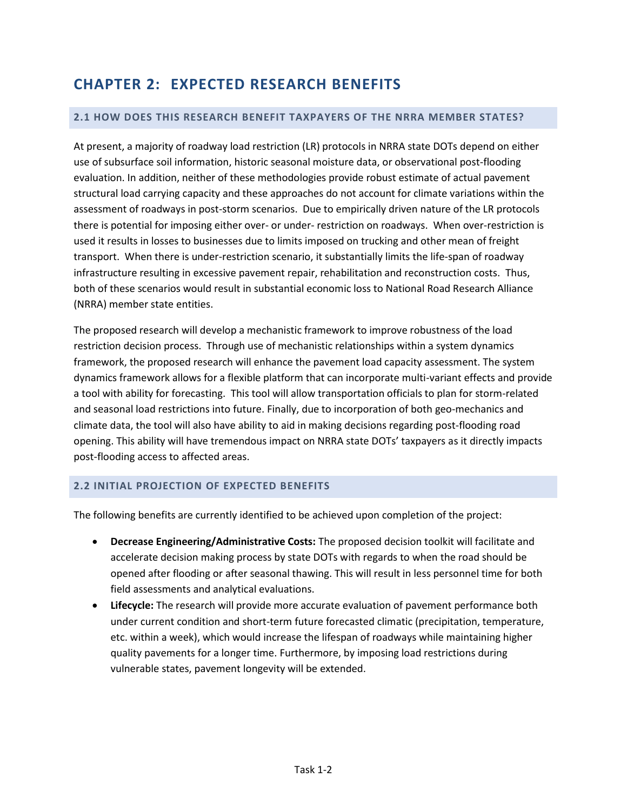## <span id="page-3-0"></span>**CHAPTER 2: EXPECTED RESEARCH BENEFITS**

#### <span id="page-3-1"></span>**2.1 HOW DOES THIS RESEARCH BENEFIT TAXPAYERS OF THE NRRA MEMBER STATES?**

At present, a majority of roadway load restriction (LR) protocols in NRRA state DOTs depend on either use of subsurface soil information, historic seasonal moisture data, or observational post-flooding evaluation. In addition, neither of these methodologies provide robust estimate of actual pavement structural load carrying capacity and these approaches do not account for climate variations within the assessment of roadways in post-storm scenarios. Due to empirically driven nature of the LR protocols there is potential for imposing either over- or under- restriction on roadways. When over-restriction is used it results in losses to businesses due to limits imposed on trucking and other mean of freight transport. When there is under-restriction scenario, it substantially limits the life-span of roadway infrastructure resulting in excessive pavement repair, rehabilitation and reconstruction costs. Thus, both of these scenarios would result in substantial economic loss to National Road Research Alliance (NRRA) member state entities.

The proposed research will develop a mechanistic framework to improve robustness of the load restriction decision process. Through use of mechanistic relationships within a system dynamics framework, the proposed research will enhance the pavement load capacity assessment. The system dynamics framework allows for a flexible platform that can incorporate multi-variant effects and provide a tool with ability for forecasting. This tool will allow transportation officials to plan for storm-related and seasonal load restrictions into future. Finally, due to incorporation of both geo-mechanics and climate data, the tool will also have ability to aid in making decisions regarding post-flooding road opening. This ability will have tremendous impact on NRRA state DOTs' taxpayers as it directly impacts post-flooding access to affected areas.

#### <span id="page-3-2"></span>**2.2 INITIAL PROJECTION OF EXPECTED BENEFITS**

The following benefits are currently identified to be achieved upon completion of the project:

- **Decrease Engineering/Administrative Costs:** The proposed decision toolkit will facilitate and accelerate decision making process by state DOTs with regards to when the road should be opened after flooding or after seasonal thawing. This will result in less personnel time for both field assessments and analytical evaluations.
- **Lifecycle:** The research will provide more accurate evaluation of pavement performance both under current condition and short-term future forecasted climatic (precipitation, temperature, etc. within a week), which would increase the lifespan of roadways while maintaining higher quality pavements for a longer time. Furthermore, by imposing load restrictions during vulnerable states, pavement longevity will be extended.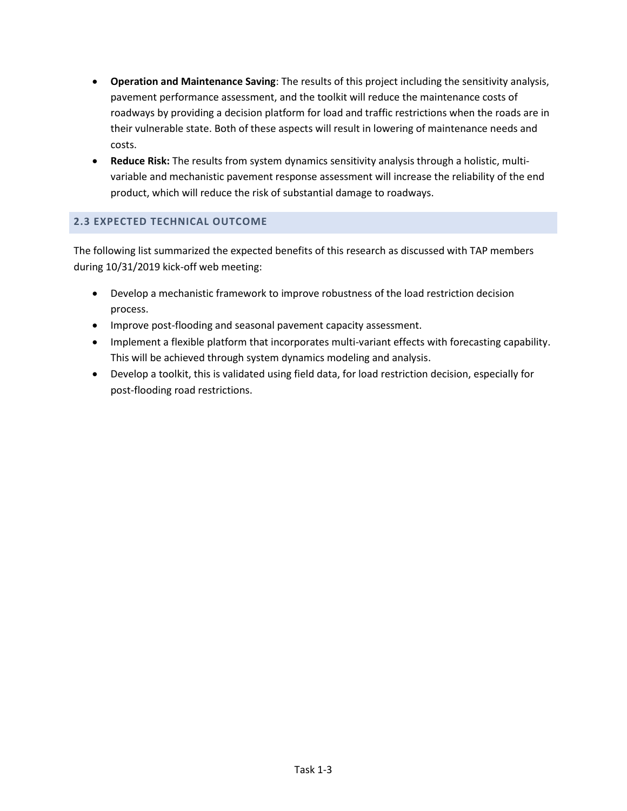- **Operation and Maintenance Saving**: The results of this project including the sensitivity analysis, pavement performance assessment, and the toolkit will reduce the maintenance costs of roadways by providing a decision platform for load and traffic restrictions when the roads are in their vulnerable state. Both of these aspects will result in lowering of maintenance needs and costs.
- **Reduce Risk:** The results from system dynamics sensitivity analysis through a holistic, multivariable and mechanistic pavement response assessment will increase the reliability of the end product, which will reduce the risk of substantial damage to roadways.

### <span id="page-4-0"></span>**2.3 EXPECTED TECHNICAL OUTCOME**

The following list summarized the expected benefits of this research as discussed with TAP members during 10/31/2019 kick-off web meeting:

- Develop a mechanistic framework to improve robustness of the load restriction decision process.
- Improve post-flooding and seasonal pavement capacity assessment.
- Implement a flexible platform that incorporates multi-variant effects with forecasting capability. This will be achieved through system dynamics modeling and analysis.
- Develop a toolkit, this is validated using field data, for load restriction decision, especially for post-flooding road restrictions.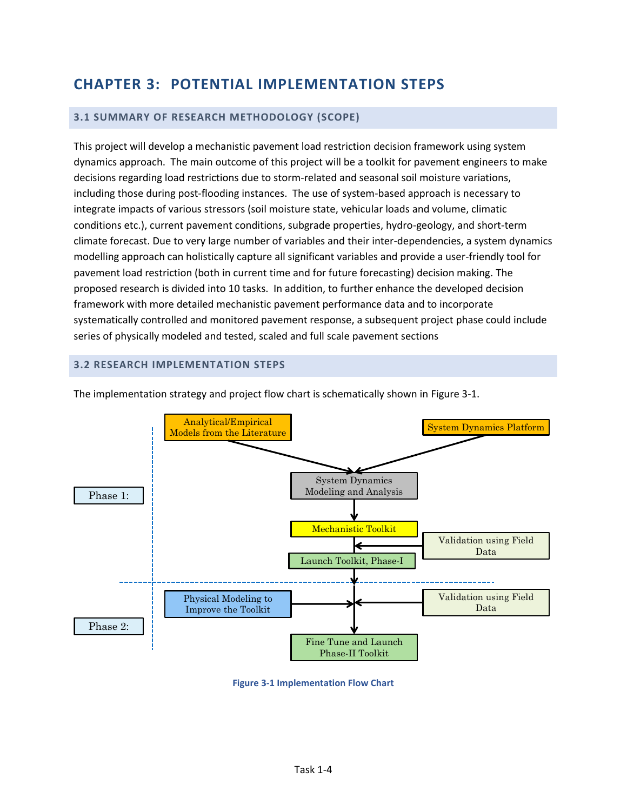## <span id="page-5-0"></span>**CHAPTER 3: POTENTIAL IMPLEMENTATION STEPS**

#### <span id="page-5-1"></span>**3.1 SUMMARY OF RESEARCH METHODOLOGY (SCOPE)**

This project will develop a mechanistic pavement load restriction decision framework using system dynamics approach. The main outcome of this project will be a toolkit for pavement engineers to make decisions regarding load restrictions due to storm-related and seasonal soil moisture variations, including those during post-flooding instances. The use of system-based approach is necessary to integrate impacts of various stressors (soil moisture state, vehicular loads and volume, climatic conditions etc.), current pavement conditions, subgrade properties, hydro-geology, and short-term climate forecast. Due to very large number of variables and their inter-dependencies, a system dynamics modelling approach can holistically capture all significant variables and provide a user-friendly tool for pavement load restriction (both in current time and for future forecasting) decision making. The proposed research is divided into 10 tasks. In addition, to further enhance the developed decision framework with more detailed mechanistic pavement performance data and to incorporate systematically controlled and monitored pavement response, a subsequent project phase could include series of physically modeled and tested, scaled and full scale pavement sections

#### <span id="page-5-2"></span>**3.2 RESEARCH IMPLEMENTATION STEPS**



The implementation strategy and project flow chart is schematically shown in [Figure 3-1.](#page-5-3)

<span id="page-5-3"></span>**Figure 3-1 Implementation Flow Chart**